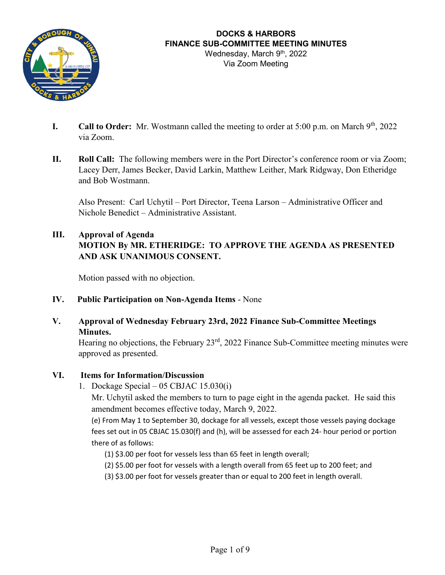

- **I.** Call to Order: Mr. Wostmann called the meeting to order at 5:00 p.m. on March 9<sup>th</sup>, 2022 via Zoom.
- **II. Roll Call:** The following members were in the Port Director's conference room or via Zoom; Lacey Derr, James Becker, David Larkin, Matthew Leither, Mark Ridgway, Don Etheridge and Bob Wostmann.

Also Present: Carl Uchytil – Port Director, Teena Larson – Administrative Officer and Nichole Benedict – Administrative Assistant.

#### **III. Approval of Agenda**

# **MOTION By MR. ETHERIDGE: TO APPROVE THE AGENDA AS PRESENTED AND ASK UNANIMOUS CONSENT.**

Motion passed with no objection.

**IV. Public Participation on Non-Agenda Items** - None

#### **V. Approval of Wednesday February 23rd, 2022 Finance Sub-Committee Meetings Minutes.**

Hearing no objections, the February 23<sup>rd</sup>, 2022 Finance Sub-Committee meeting minutes were approved as presented.

#### **VI. Items for Information/Discussion**

1. Dockage Special – 05 CBJAC 15.030(i)

Mr. Uchytil asked the members to turn to page eight in the agenda packet. He said this amendment becomes effective today, March 9, 2022.

(e) From May 1 to September 30, dockage for all vessels, except those vessels paying dockage fees set out in 05 CBJAC 15.030(f) and (h), will be assessed for each 24- hour period or portion there of as follows:

(1) \$3.00 per foot for vessels less than 65 feet in length overall;

- (2) \$5.00 per foot for vessels with a length overall from 65 feet up to 200 feet; and
- (3) \$3.00 per foot for vessels greater than or equal to 200 feet in length overall.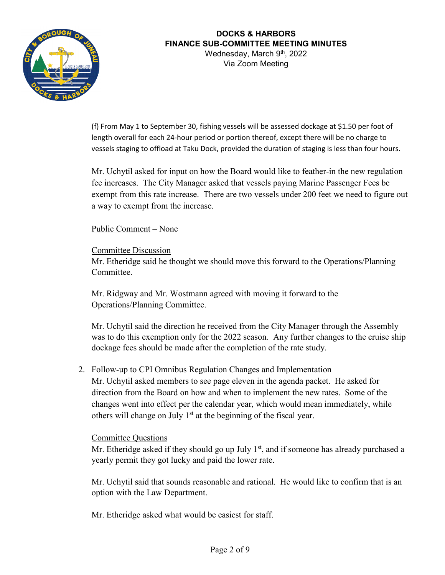

Via Zoom Meeting

(f) From May 1 to September 30, fishing vessels will be assessed dockage at \$1.50 per foot of length overall for each 24-hour period or portion thereof, except there will be no charge to vessels staging to offload at Taku Dock, provided the duration of staging is less than four hours.

Mr. Uchytil asked for input on how the Board would like to feather-in the new regulation fee increases. The City Manager asked that vessels paying Marine Passenger Fees be exempt from this rate increase. There are two vessels under 200 feet we need to figure out a way to exempt from the increase.

Public Comment – None

Committee Discussion Mr. Etheridge said he thought we should move this forward to the Operations/Planning Committee.

Mr. Ridgway and Mr. Wostmann agreed with moving it forward to the Operations/Planning Committee.

Mr. Uchytil said the direction he received from the City Manager through the Assembly was to do this exemption only for the 2022 season. Any further changes to the cruise ship dockage fees should be made after the completion of the rate study.

2. Follow-up to CPI Omnibus Regulation Changes and Implementation Mr. Uchytil asked members to see page eleven in the agenda packet. He asked for direction from the Board on how and when to implement the new rates. Some of the changes went into effect per the calendar year, which would mean immediately, while others will change on July  $1<sup>st</sup>$  at the beginning of the fiscal year.

#### Committee Questions

Mr. Etheridge asked if they should go up July  $1<sup>st</sup>$ , and if someone has already purchased a yearly permit they got lucky and paid the lower rate.

Mr. Uchytil said that sounds reasonable and rational. He would like to confirm that is an option with the Law Department.

Mr. Etheridge asked what would be easiest for staff.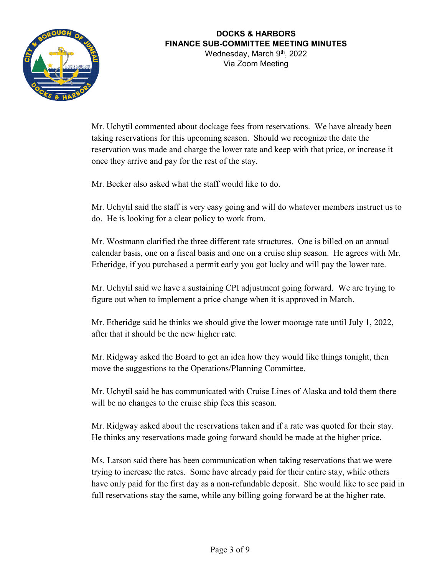

Via Zoom Meeting

Mr. Uchytil commented about dockage fees from reservations. We have already been taking reservations for this upcoming season. Should we recognize the date the reservation was made and charge the lower rate and keep with that price, or increase it once they arrive and pay for the rest of the stay.

Mr. Becker also asked what the staff would like to do.

Mr. Uchytil said the staff is very easy going and will do whatever members instruct us to do. He is looking for a clear policy to work from.

Mr. Wostmann clarified the three different rate structures. One is billed on an annual calendar basis, one on a fiscal basis and one on a cruise ship season. He agrees with Mr. Etheridge, if you purchased a permit early you got lucky and will pay the lower rate.

Mr. Uchytil said we have a sustaining CPI adjustment going forward. We are trying to figure out when to implement a price change when it is approved in March.

Mr. Etheridge said he thinks we should give the lower moorage rate until July 1, 2022, after that it should be the new higher rate.

Mr. Ridgway asked the Board to get an idea how they would like things tonight, then move the suggestions to the Operations/Planning Committee.

Mr. Uchytil said he has communicated with Cruise Lines of Alaska and told them there will be no changes to the cruise ship fees this season.

Mr. Ridgway asked about the reservations taken and if a rate was quoted for their stay. He thinks any reservations made going forward should be made at the higher price.

Ms. Larson said there has been communication when taking reservations that we were trying to increase the rates. Some have already paid for their entire stay, while others have only paid for the first day as a non-refundable deposit. She would like to see paid in full reservations stay the same, while any billing going forward be at the higher rate.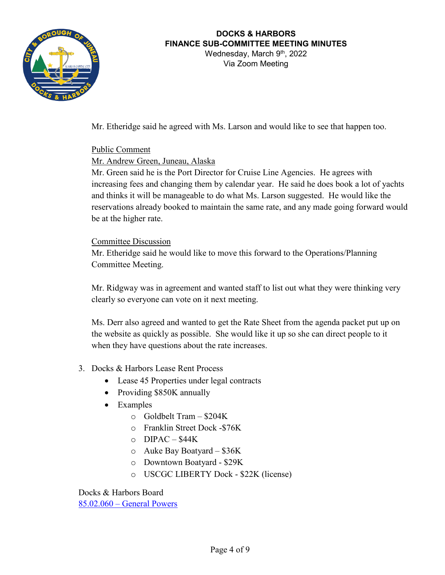

# **DOCKS & HARBORS FINANCE SUB-COMMITTEE MEETING MINUTES**

Wednesday, March 9<sup>th</sup>, 2022 Via Zoom Meeting

Mr. Etheridge said he agreed with Ms. Larson and would like to see that happen too.

#### Public Comment

#### Mr. Andrew Green, Juneau, Alaska

Mr. Green said he is the Port Director for Cruise Line Agencies. He agrees with increasing fees and changing them by calendar year. He said he does book a lot of yachts and thinks it will be manageable to do what Ms. Larson suggested. He would like the reservations already booked to maintain the same rate, and any made going forward would be at the higher rate.

#### Committee Discussion

Mr. Etheridge said he would like to move this forward to the Operations/Planning Committee Meeting.

Mr. Ridgway was in agreement and wanted staff to list out what they were thinking very clearly so everyone can vote on it next meeting.

Ms. Derr also agreed and wanted to get the Rate Sheet from the agenda packet put up on the website as quickly as possible. She would like it up so she can direct people to it when they have questions about the rate increases.

- 3. Docks & Harbors Lease Rent Process
	- Lease 45 Properties under legal contracts
	- Providing \$850K annually
	- Examples
		- o Goldbelt Tram \$204K
		- o Franklin Street Dock -\$76K
		- $O$  DIPAC \$44K
		- o Auke Bay Boatyard \$36K
		- o Downtown Boatyard \$29K
		- o USCGC LIBERTY Dock \$22K (license)

Docks & Harbors Board 85.02.060 – [General Powers](https://library.municode.com/ak/juneau/codes/code_of_ordinances?nodeId=COLABOJUALVOII_TIT85WAHA_CH85.02DOHABO_85.02.060GEPO)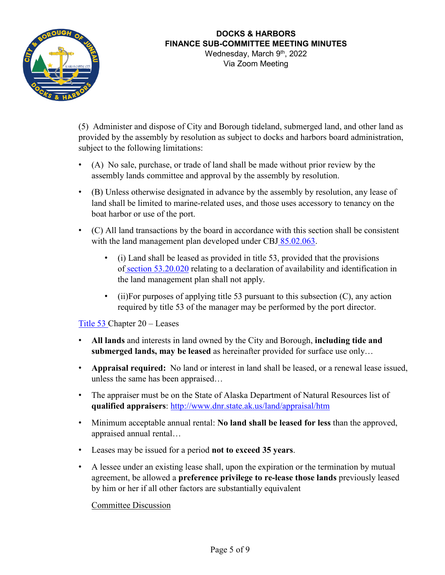

Via Zoom Meeting

(5) Administer and dispose of City and Borough tideland, submerged land, and other land as provided by the assembly by resolution as subject to docks and harbors board administration, subject to the following limitations:

- (A) No sale, purchase, or trade of land shall be made without prior review by the assembly lands committee and approval by the assembly by resolution.
- (B) Unless otherwise designated in advance by the assembly by resolution, any lease of land shall be limited to marine-related uses, and those uses accessory to tenancy on the boat harbor or use of the port.
- (C) All land transactions by the board in accordance with this section shall be consistent with the land management plan developed under CBJ [85.02.063.](https://library.municode.com/ak/juneau/codes/code_of_ordinances?nodeId=COLABOJUALVOII_TIT85WAHA_CH85.02DOHABO_85.02.063LAMAPL)
	- (i) Land shall be leased as provided in title 53, provided that the provisions of [section 53.20.020](https://library.municode.com/ak/juneau/codes/code_of_ordinances?nodeId=TIT53PRACDI_PTIREPR_CH53.20LE_53.20.020LAAVLE) relating to a declaration of availability and identification in the land management plan shall not apply.
	- (ii)For purposes of applying title 53 pursuant to this subsection  $(C)$ , any action required by title 53 of the manager may be performed by the port director.

[Title 53 C](https://library.municode.com/ak/juneau/codes/code_of_ordinances?nodeId=TIT53PRACDI_PTIREPR_CH53.20LE)hapter 20 – Leases

- **All lands** and interests in land owned by the City and Borough, **including tide and submerged lands, may be leased** as hereinafter provided for surface use only…
- **Appraisal required:** No land or interest in land shall be leased, or a renewal lease issued, unless the same has been appraised…
- The appraiser must be on the State of Alaska Department of Natural Resources list of **qualified appraisers**:<http://www.dnr.state.ak.us/land/appraisal/htm>
- Minimum acceptable annual rental: **No land shall be leased for less** than the approved, appraised annual rental…
- Leases may be issued for a period **not to exceed 35 years**.
- A lessee under an existing lease shall, upon the expiration or the termination by mutual agreement, be allowed a **preference privilege to re-lease those lands** previously leased by him or her if all other factors are substantially equivalent

Committee Discussion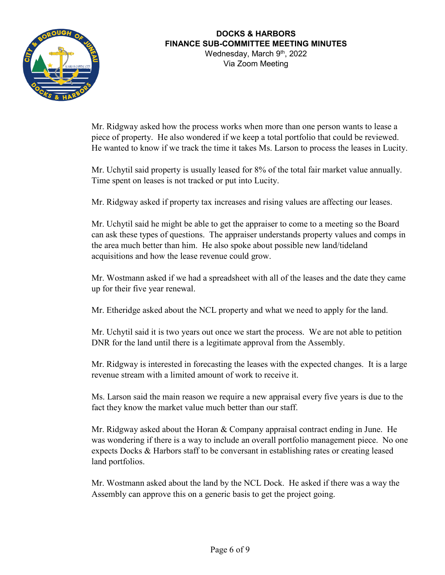

Via Zoom Meeting

Mr. Ridgway asked how the process works when more than one person wants to lease a piece of property. He also wondered if we keep a total portfolio that could be reviewed. He wanted to know if we track the time it takes Ms. Larson to process the leases in Lucity.

Mr. Uchytil said property is usually leased for 8% of the total fair market value annually. Time spent on leases is not tracked or put into Lucity.

Mr. Ridgway asked if property tax increases and rising values are affecting our leases.

Mr. Uchytil said he might be able to get the appraiser to come to a meeting so the Board can ask these types of questions. The appraiser understands property values and comps in the area much better than him. He also spoke about possible new land/tideland acquisitions and how the lease revenue could grow.

Mr. Wostmann asked if we had a spreadsheet with all of the leases and the date they came up for their five year renewal.

Mr. Etheridge asked about the NCL property and what we need to apply for the land.

Mr. Uchytil said it is two years out once we start the process. We are not able to petition DNR for the land until there is a legitimate approval from the Assembly.

Mr. Ridgway is interested in forecasting the leases with the expected changes. It is a large revenue stream with a limited amount of work to receive it.

Ms. Larson said the main reason we require a new appraisal every five years is due to the fact they know the market value much better than our staff.

Mr. Ridgway asked about the Horan & Company appraisal contract ending in June. He was wondering if there is a way to include an overall portfolio management piece. No one expects Docks & Harbors staff to be conversant in establishing rates or creating leased land portfolios.

Mr. Wostmann asked about the land by the NCL Dock. He asked if there was a way the Assembly can approve this on a generic basis to get the project going.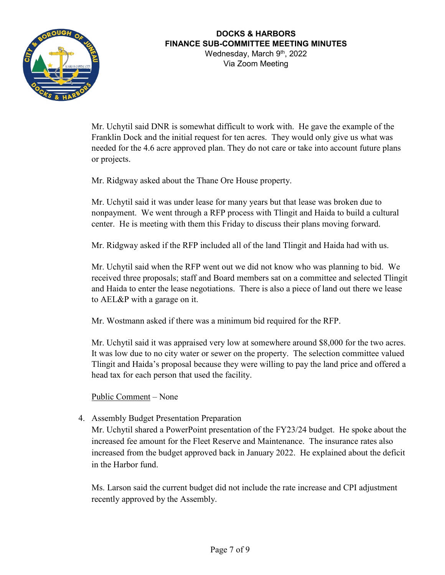

Via Zoom Meeting

Mr. Uchytil said DNR is somewhat difficult to work with. He gave the example of the Franklin Dock and the initial request for ten acres. They would only give us what was needed for the 4.6 acre approved plan. They do not care or take into account future plans or projects.

Mr. Ridgway asked about the Thane Ore House property.

Mr. Uchytil said it was under lease for many years but that lease was broken due to nonpayment. We went through a RFP process with Tlingit and Haida to build a cultural center. He is meeting with them this Friday to discuss their plans moving forward.

Mr. Ridgway asked if the RFP included all of the land Tlingit and Haida had with us.

Mr. Uchytil said when the RFP went out we did not know who was planning to bid. We received three proposals; staff and Board members sat on a committee and selected Tlingit and Haida to enter the lease negotiations. There is also a piece of land out there we lease to AEL&P with a garage on it.

Mr. Wostmann asked if there was a minimum bid required for the RFP.

Mr. Uchytil said it was appraised very low at somewhere around \$8,000 for the two acres. It was low due to no city water or sewer on the property. The selection committee valued Tlingit and Haida's proposal because they were willing to pay the land price and offered a head tax for each person that used the facility.

Public Comment – None

4. Assembly Budget Presentation Preparation

Mr. Uchytil shared a PowerPoint presentation of the FY23/24 budget. He spoke about the increased fee amount for the Fleet Reserve and Maintenance. The insurance rates also increased from the budget approved back in January 2022. He explained about the deficit in the Harbor fund.

Ms. Larson said the current budget did not include the rate increase and CPI adjustment recently approved by the Assembly.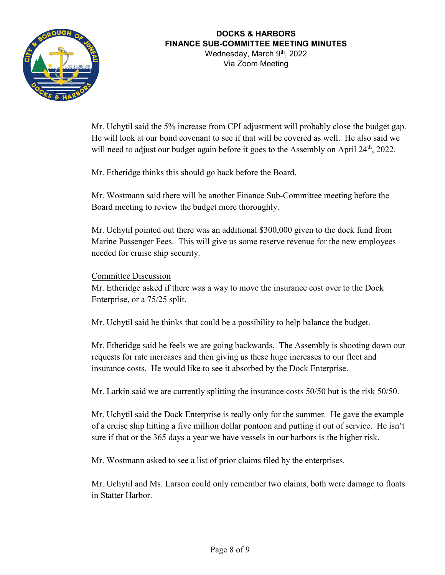

Via Zoom Meeting

Mr. Uchytil said the 5% increase from CPI adjustment will probably close the budget gap. He will look at our bond covenant to see if that will be covered as well. He also said we will need to adjust our budget again before it goes to the Assembly on April 24<sup>th</sup>, 2022.

Mr. Etheridge thinks this should go back before the Board.

Mr. Wostmann said there will be another Finance Sub-Committee meeting before the Board meeting to review the budget more thoroughly.

Mr. Uchytil pointed out there was an additional \$300,000 given to the dock fund from Marine Passenger Fees. This will give us some reserve revenue for the new employees needed for cruise ship security.

Committee Discussion

Mr. Etheridge asked if there was a way to move the insurance cost over to the Dock Enterprise, or a 75/25 split.

Mr. Uchytil said he thinks that could be a possibility to help balance the budget.

Mr. Etheridge said he feels we are going backwards. The Assembly is shooting down our requests for rate increases and then giving us these huge increases to our fleet and insurance costs. He would like to see it absorbed by the Dock Enterprise.

Mr. Larkin said we are currently splitting the insurance costs 50/50 but is the risk 50/50.

Mr. Uchytil said the Dock Enterprise is really only for the summer. He gave the example of a cruise ship hitting a five million dollar pontoon and putting it out of service. He isn't sure if that or the 365 days a year we have vessels in our harbors is the higher risk.

Mr. Wostmann asked to see a list of prior claims filed by the enterprises.

Mr. Uchytil and Ms. Larson could only remember two claims, both were damage to floats in Statter Harbor.